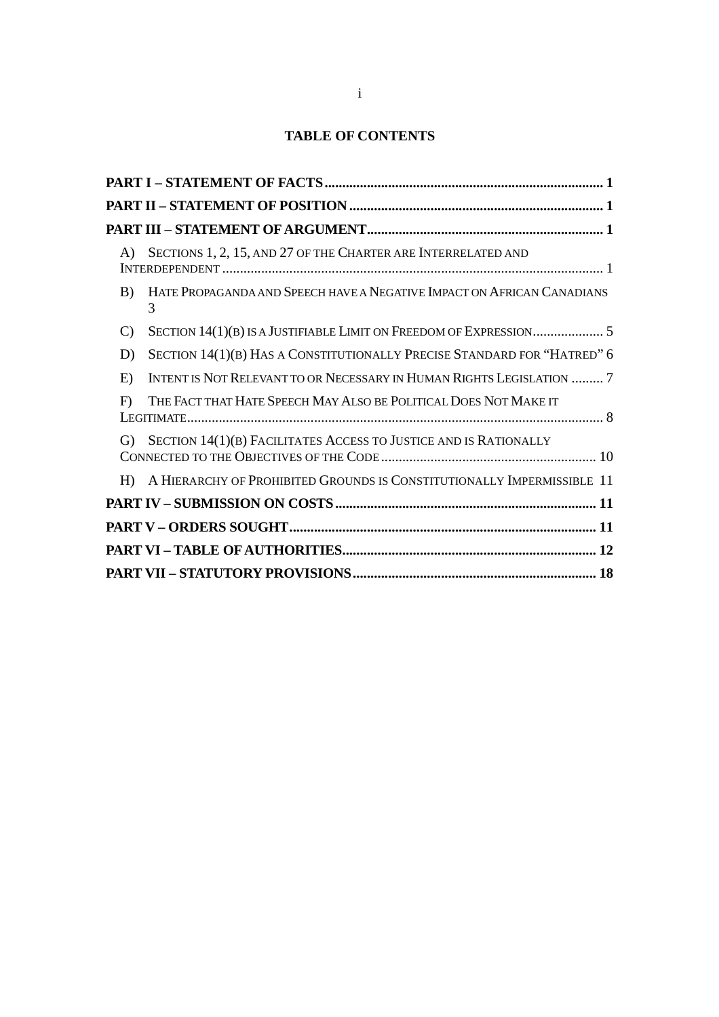# **TABLE OF CONTENTS**

| A) | SECTIONS 1, 2, 15, AND 27 OF THE CHARTER ARE INTERRELATED AND               |
|----|-----------------------------------------------------------------------------|
| B) | HATE PROPAGANDA AND SPEECH HAVE A NEGATIVE IMPACT ON AFRICAN CANADIANS<br>3 |
| C) |                                                                             |
| D) | SECTION 14(1)(B) HAS A CONSTITUTIONALLY PRECISE STANDARD FOR "HATRED" 6     |
| E) | INTENT IS NOT RELEVANT TO OR NECESSARY IN HUMAN RIGHTS LEGISLATION  7       |
| F  | THE FACT THAT HATE SPEECH MAY ALSO BE POLITICAL DOES NOT MAKE IT            |
| G) | SECTION 14(1)(B) FACILITATES ACCESS TO JUSTICE AND IS RATIONALLY            |
| H  | A HIERARCHY OF PROHIBITED GROUNDS IS CONSTITUTIONALLY IMPERMISSIBLE 11      |
|    |                                                                             |
|    |                                                                             |
|    |                                                                             |
|    |                                                                             |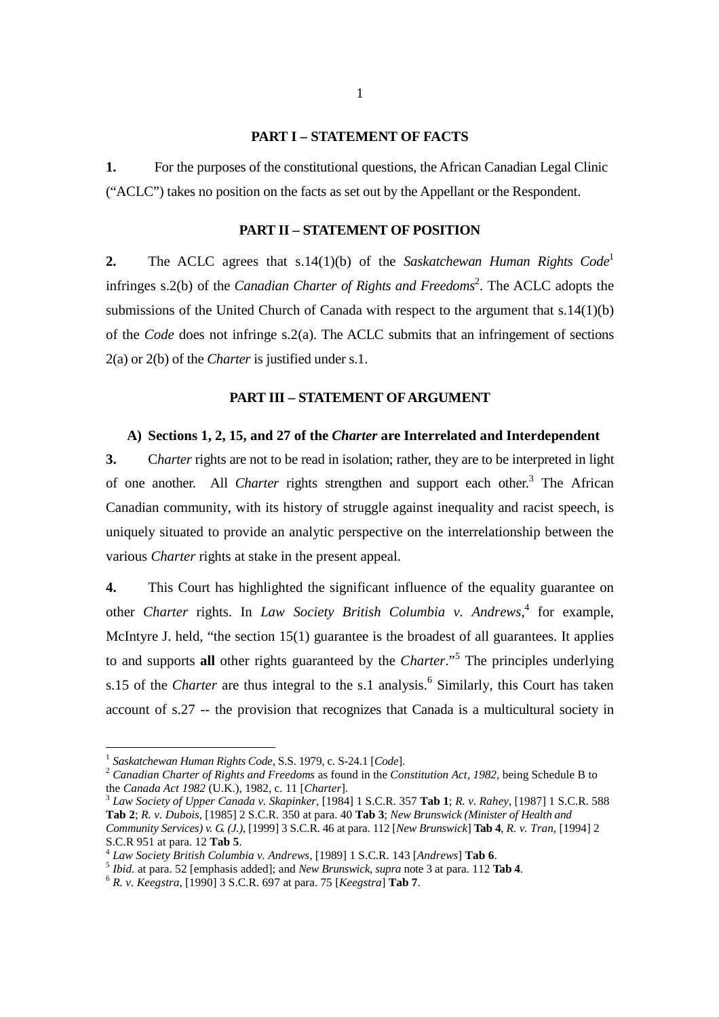#### **PART I – STATEMENT OF FACTS**

**1.** For the purposes of the constitutional questions, the African Canadian Legal Clinic ("ACLC") takes no position on the facts as set out by the Appellant or the Respondent.

#### **PART II – STATEMENT OF POSITION**

**2.** The ACLC agrees that s.14(1)(b) of the *Saskatchewan Human Rights Code*<sup>1</sup> infringes s.2(b) of the *Canadian Charter of Rights and Freedoms*<sup>2</sup> . The ACLC adopts the submissions of the United Church of Canada with respect to the argument that s.14(1)(b) of the *Code* does not infringe s.2(a). The ACLC submits that an infringement of sections 2(a) or 2(b) of the *Charter* is justified under s.1.

#### **PART III – STATEMENT OF ARGUMENT**

## **A) Sections 1, 2, 15, and 27 of the** *Charter* **are Interrelated and Interdependent**

**3.** C*harter* rights are not to be read in isolation; rather, they are to be interpreted in light of one another. All *Charter* rights strengthen and support each other.<sup>3</sup> The African Canadian community, with its history of struggle against inequality and racist speech, is uniquely situated to provide an analytic perspective on the interrelationship between the various *Charter* rights at stake in the present appeal.

**4.** This Court has highlighted the significant influence of the equality guarantee on other *Charter* rights. In *Law Society British Columbia v. Andrews*, 4 for example, McIntyre J. held, "the section 15(1) guarantee is the broadest of all guarantees. It applies to and supports **all** other rights guaranteed by the *Charter*."<sup>5</sup> The principles underlying s.15 of the *Charter* are thus integral to the s.1 analysis.<sup>6</sup> Similarly, this Court has taken account of s.27 -- the provision that recognizes that Canada is a multicultural society in

 1 *Saskatchewan Human Rights Code*, S.S. 1979, c. S-24.1 [*Code*].

<sup>2</sup> *Canadian Charter of Rights and Freedoms* as found in the *Constitution Act, 1982,* being Schedule B to the *Canada Act 1982* (U.K.), 1982, c. 11 [*Charter*].

<sup>3</sup> *Law Society of Upper Canada v. Skapinker*, [1984] 1 S.C.R. 357 **Tab 1**; *R. v. Rahey*, [1987] 1 S.C.R. 588 **Tab 2**; *R. v. Dubois*, [1985] 2 S.C.R. 350 at para. 40 **Tab 3**; *New Brunswick (Minister of Health and Community Services) v. G. (J.)*, [1999] 3 S.C.R. 46 at para. 112 [*New Brunswick*] **Tab 4**, *R. v. Tran*, [1994] 2 S.C.R 951 at para. 12 **Tab 5**.

<sup>4</sup> *Law Society British Columbia v. Andrews*, [1989] 1 S.C.R. 143 [*Andrews*] **Tab 6**.

<sup>5</sup> *Ibid.* at para. 52 [emphasis added]; and *New Brunswick, supra* note 3 at para. 112 **Tab 4**.

<sup>6</sup> *R. v. Keegstra*, [1990] 3 S.C.R. 697 at para. 75 [*Keegstra*] **Tab 7**.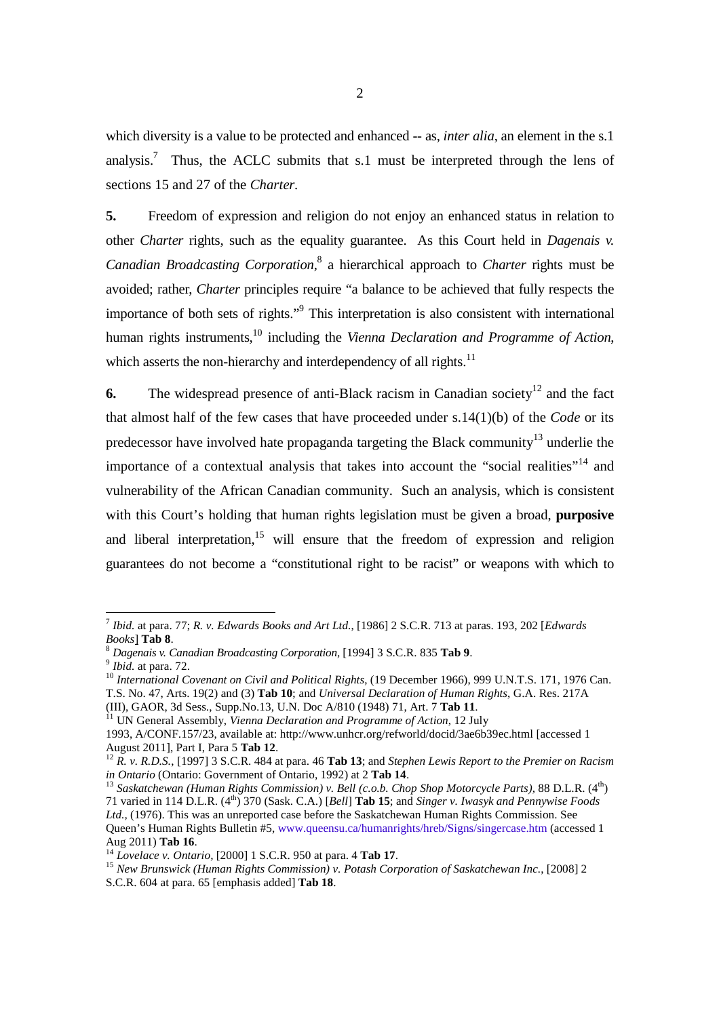which diversity is a value to be protected and enhanced -- as, *inter alia*, an element in the s.1 analysis.<sup>7</sup> Thus, the ACLC submits that s.1 must be interpreted through the lens of sections 15 and 27 of the *Charter.*

**5.** Freedom of expression and religion do not enjoy an enhanced status in relation to other *Charter* rights, such as the equality guarantee. As this Court held in *Dagenais v. Canadian Broadcasting Corporation,*<sup>8</sup> a hierarchical approach to *Charter* rights must be avoided; rather, *Charter* principles require "a balance to be achieved that fully respects the importance of both sets of rights."<sup>9</sup> This interpretation is also consistent with international human rights instruments,<sup>10</sup> including the *Vienna Declaration and Programme of Action*, which asserts the non-hierarchy and interdependency of all rights. $11$ 

**6.** The widespread presence of anti-Black racism in Canadian society<sup>12</sup> and the fact that almost half of the few cases that have proceeded under s.14(1)(b) of the *Code* or its predecessor have involved hate propaganda targeting the Black community<sup>13</sup> underlie the importance of a contextual analysis that takes into account the "social realities"<sup>14</sup> and vulnerability of the African Canadian community. Such an analysis, which is consistent with this Court's holding that human rights legislation must be given a broad, **purposive** and liberal interpretation,  $15$  will ensure that the freedom of expression and religion guarantees do not become a "constitutional right to be racist" or weapons with which to

<sup>-</sup>7 *Ibid.* at para. 77; *R. v. Edwards Books and Art Ltd.*, [1986] 2 S.C.R. 713 at paras. 193, 202 [*Edwards Books*] **Tab 8**.

<sup>8</sup> *Dagenais v. Canadian Broadcasting Corporation,* [1994] 3 S.C.R. 835 **Tab 9**.

<sup>9</sup> *Ibid.* at para. 72.

<sup>&</sup>lt;sup>10</sup> International Covenant on Civil and Political Rights, (19 December 1966), 999 U.N.T.S. 171, 1976 Can. T.S. No. 47, Arts. 19(2) and (3) **Tab 10**; and *Universal Declaration of Human Rights*, G.A. Res. 217A (III), GAOR, 3d Sess., Supp.No.13, U.N. Doc A/810 (1948) 71, Art. 7 **Tab 11**.

<sup>11</sup> UN General Assembly, *Vienna Declaration and Programme of Action*, 12 July

<sup>1993,</sup> A/CONF.157/23, available at: http://www.unhcr.org/refworld/docid/3ae6b39ec.html [accessed 1 August 2011], Part I, Para 5 **Tab 12**.

<sup>12</sup> *R. v. R.D.S.*, [1997] 3 S.C.R. 484 at para. 46 **Tab 13**; and *Stephen Lewis Report to the Premier on Racism in Ontario* (Ontario: Government of Ontario, 1992) at 2 **Tab 14**.

<sup>&</sup>lt;sup>13</sup> Saskatchewan (Human Rights Commission) v. Bell (c.o.b. Chop Shop Motorcycle Parts), 88 D.L.R. (4<sup>th</sup>) 71 varied in 114 D.L.R. (4th) 370 (Sask. C.A.) [*Bell*] **Tab 15**; and *Singer v. Iwasyk and Pennywise Foods Ltd.,* (1976). This was an unreported case before the Saskatchewan Human Rights Commission. See Queen's Human Rights Bulletin #5, www.queensu.ca/humanrights/hreb/Signs/singercase.htm (accessed 1 Aug 2011) **Tab 16**.

<sup>14</sup> *Lovelace v. Ontario,* [2000] 1 S.C.R. 950 at para. 4 **Tab 17**.

<sup>15</sup> *New Brunswick (Human Rights Commission) v. Potash Corporation of Saskatchewan Inc.*, [2008] 2 S.C.R. 604 at para. 65 [emphasis added] **Tab 18**.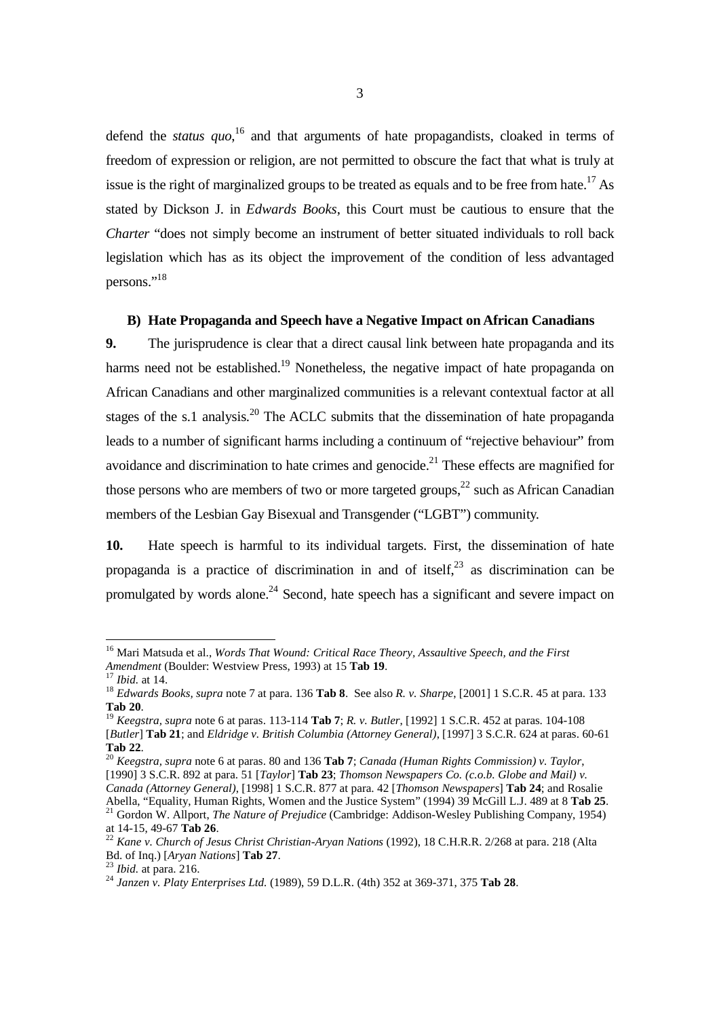defend the *status quo*,<sup>16</sup> and that arguments of hate propagandists, cloaked in terms of freedom of expression or religion, are not permitted to obscure the fact that what is truly at issue is the right of marginalized groups to be treated as equals and to be free from hate.<sup>17</sup> As stated by Dickson J. in *Edwards Books*, this Court must be cautious to ensure that the *Charter* "does not simply become an instrument of better situated individuals to roll back legislation which has as its object the improvement of the condition of less advantaged persons."<sup>18</sup>

#### **B) Hate Propaganda and Speech have a Negative Impact on African Canadians**

**9.** The jurisprudence is clear that a direct causal link between hate propaganda and its harms need not be established.<sup>19</sup> Nonetheless, the negative impact of hate propaganda on African Canadians and other marginalized communities is a relevant contextual factor at all stages of the s.1 analysis.<sup>20</sup> The ACLC submits that the dissemination of hate propaganda leads to a number of significant harms including a continuum of "rejective behaviour" from avoidance and discrimination to hate crimes and genocide.<sup>21</sup> These effects are magnified for those persons who are members of two or more targeted groups, $^{22}$  such as African Canadian members of the Lesbian Gay Bisexual and Transgender ("LGBT") community.

**10.** Hate speech is harmful to its individual targets. First, the dissemination of hate propaganda is a practice of discrimination in and of itself.<sup>23</sup> as discrimination can be promulgated by words alone.<sup>24</sup> Second, hate speech has a significant and severe impact on

<sup>16</sup> Mari Matsuda et al., *Words That Wound: Critical Race Theory, Assaultive Speech, and the First Amendment* (Boulder: Westview Press, 1993) at 15 **Tab 19**.

<sup>17</sup> *Ibid.* at 14.

<sup>18</sup> *Edwards Books, supra* note 7 at para. 136 **Tab 8**. See also *R. v. Sharpe*, [2001] 1 S.C.R. 45 at para. 133 **Tab 20**.

<sup>19</sup> *Keegstra, supra* note 6 at paras. 113-114 **Tab 7**; *R. v. Butler*, [1992] 1 S.C.R. 452 at paras. 104-108 [*Butler*] **Tab 21**; and *Eldridge v. British Columbia (Attorney General)*, [1997] 3 S.C.R. 624 at paras. 60-61 **Tab 22**.

<sup>20</sup> *Keegstra, supra* note 6 at paras. 80 and 136 **Tab 7**; *Canada (Human Rights Commission) v. Taylor*, [1990] 3 S.C.R. 892 at para. 51 [*Taylor*] **Tab 23**; *Thomson Newspapers Co. (c.o.b. Globe and Mail) v. Canada (Attorney General)*, [1998] 1 S.C.R. 877 at para. 42 [*Thomson Newspapers*] **Tab 24**; and Rosalie Abella, "Equality, Human Rights, Women and the Justice System" (1994) 39 McGill L.J. 489 at 8 **Tab 25**. <sup>21</sup> Gordon W. Allport, *The Nature of Prejudice* (Cambridge: Addison-Wesley Publishing Company, 1954) at 14-15, 49-67 **Tab 26**.

<sup>22</sup> *Kane v. Church of Jesus Christ Christian-Aryan Nations* (1992), 18 C.H.R.R. 2/268 at para. 218 (Alta Bd. of Inq.) [*Aryan Nations*] **Tab 27**.

<sup>23</sup> *Ibid.* at para. 216.

<sup>24</sup> *Janzen v. Platy Enterprises Ltd.* (1989), 59 D.L.R. (4th) 352 at 369-371, 375 **Tab 28**.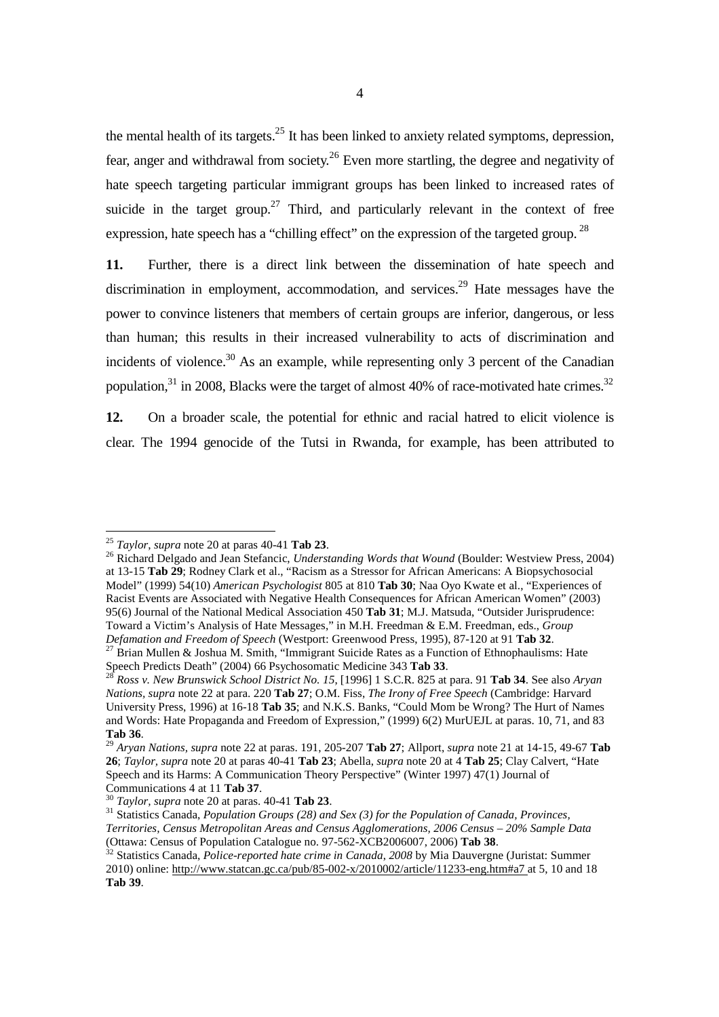the mental health of its targets. $25$  It has been linked to anxiety related symptoms, depression, fear, anger and withdrawal from society.<sup>26</sup> Even more startling, the degree and negativity of hate speech targeting particular immigrant groups has been linked to increased rates of suicide in the target group.<sup>27</sup> Third, and particularly relevant in the context of free expression, hate speech has a "chilling effect" on the expression of the targeted group.<sup>28</sup>

**11.** Further, there is a direct link between the dissemination of hate speech and discrimination in employment, accommodation, and services.<sup>29</sup> Hate messages have the power to convince listeners that members of certain groups are inferior, dangerous, or less than human; this results in their increased vulnerability to acts of discrimination and incidents of violence.<sup>30</sup> As an example, while representing only 3 percent of the Canadian population, $31 \text{ in } 2008$ , Blacks were the target of almost 40% of race-motivated hate crimes.<sup>32</sup>

**12.** On a broader scale, the potential for ethnic and racial hatred to elicit violence is clear. The 1994 genocide of the Tutsi in Rwanda, for example, has been attributed to

-

<sup>26</sup> Richard Delgado and Jean Stefancic, *Understanding Words that Wound* (Boulder: Westview Press, 2004) at 13-15 **Tab 29**; Rodney Clark et al., "Racism as a Stressor for African Americans: A Biopsychosocial Model" (1999) 54(10) *American Psychologist* 805 at 810 **Tab 30**; Naa Oyo Kwate et al., "Experiences of Racist Events are Associated with Negative Health Consequences for African American Women" (2003) 95(6) Journal of the National Medical Association 450 **Tab 31**; M.J. Matsuda, "Outsider Jurisprudence: Toward a Victim's Analysis of Hate Messages," in M.H. Freedman & E.M. Freedman, eds., *Group Defamation and Freedom of Speech* (Westport: Greenwood Press, 1995), 87-120 at 91 **Tab 32**.

<sup>25</sup> *Taylor*, *supra* note 20 at paras 40-41 **Tab 23**.

 $27$  Brian Mullen & Joshua M. Smith, "Immigrant Suicide Rates as a Function of Ethnophaulisms: Hate Speech Predicts Death" (2004) 66 Psychosomatic Medicine 343 **Tab 33**.

<sup>28</sup> *Ross v. New Brunswick School District No. 15*, [1996] 1 S.C.R. 825 at para. 91 **Tab 34**. See also *Aryan Nations, supra* note 22 at para. 220 **Tab 27**; O.M. Fiss, *The Irony of Free Speech* (Cambridge: Harvard University Press, 1996) at 16-18 **Tab 35**; and N.K.S. Banks, "Could Mom be Wrong? The Hurt of Names and Words: Hate Propaganda and Freedom of Expression," (1999) 6(2) MurUEJL at paras. 10, 71, and 83 **Tab 36**.

<sup>29</sup> *Aryan Nations, supra* note 22 at paras. 191, 205-207 **Tab 27**; Allport, *supra* note 21 at 14-15, 49-67 **Tab 26**; *Taylor, supra* note 20 at paras 40-41 **Tab 23**; Abella, *supra* note 20 at 4 **Tab 25**; Clay Calvert, "Hate Speech and its Harms: A Communication Theory Perspective" (Winter 1997) 47(1) Journal of Communications 4 at 11 **Tab 37**.

<sup>30</sup> *Taylor, supra* note 20 at paras. 40-41 **Tab 23**.

<sup>31</sup> Statistics Canada, *Population Groups (28) and Sex (3) for the Population of Canada, Provinces, Territories, Census Metropolitan Areas and Census Agglomerations, 2006 Census – 20% Sample Data* (Ottawa: Census of Population Catalogue no. 97-562-XCB2006007, 2006) **Tab 38**.

<sup>32</sup> Statistics Canada, *Police-reported hate crime in Canada*, *2008* by Mia Dauvergne (Juristat: Summer 2010) online: http://www.statcan.gc.ca/pub/85-002-x/2010002/article/11233-eng.htm#a7 at 5, 10 and 18 **Tab 39**.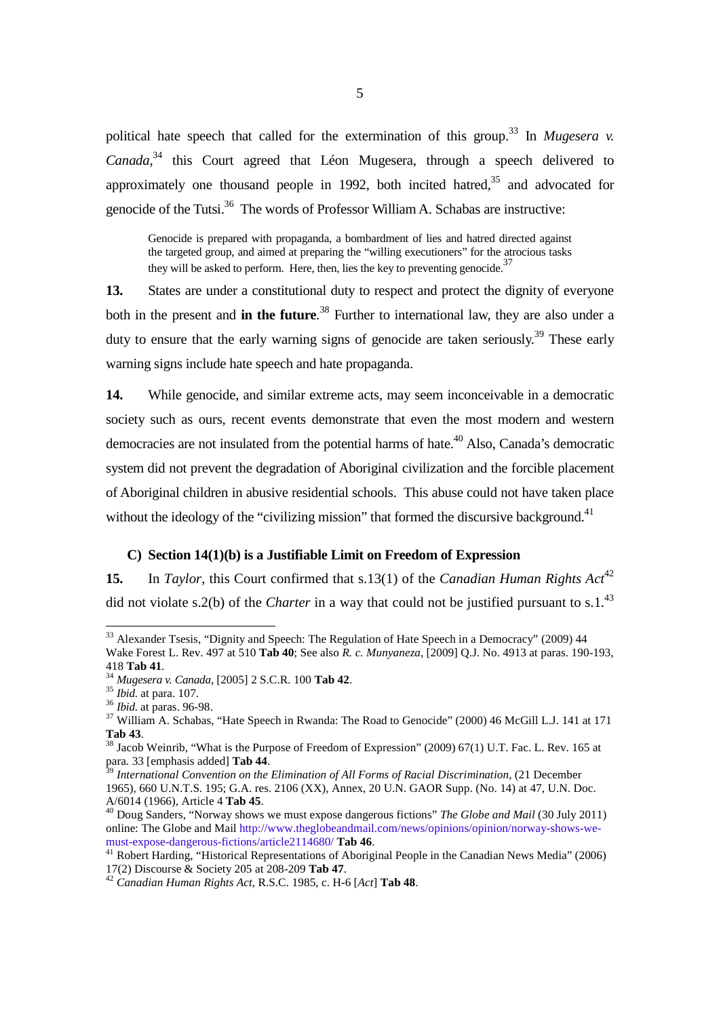political hate speech that called for the extermination of this group.<sup>33</sup> In *Mugesera v. Canada*, <sup>34</sup> this Court agreed that Léon Mugesera, through a speech delivered to approximately one thousand people in 1992, both incited hatred,  $35$  and advocated for genocide of the Tutsi.<sup>36</sup> The words of Professor William A. Schabas are instructive:

Genocide is prepared with propaganda, a bombardment of lies and hatred directed against the targeted group, and aimed at preparing the "willing executioners" for the atrocious tasks they will be asked to perform. Here, then, lies the key to preventing genocide.<sup>37</sup>

**13.** States are under a constitutional duty to respect and protect the dignity of everyone both in the present and **in the future**. <sup>38</sup> Further to international law, they are also under a duty to ensure that the early warning signs of genocide are taken seriously.<sup>39</sup> These early warning signs include hate speech and hate propaganda.

**14.** While genocide, and similar extreme acts, may seem inconceivable in a democratic society such as ours, recent events demonstrate that even the most modern and western democracies are not insulated from the potential harms of hate.<sup> $40$ </sup> Also, Canada's democratic system did not prevent the degradation of Aboriginal civilization and the forcible placement of Aboriginal children in abusive residential schools. This abuse could not have taken place without the ideology of the "civilizing mission" that formed the discursive background. $41$ 

#### **C) Section 14(1)(b) is a Justifiable Limit on Freedom of Expression**

**15.** In *Taylor*, this Court confirmed that s.13(1) of the *Canadian Human Rights Act*<sup>42</sup> did not violate s.2(b) of the *Charter* in a way that could not be justified pursuant to s.1.<sup>43</sup>

<sup>&</sup>lt;sup>33</sup> Alexander Tsesis, "Dignity and Speech: The Regulation of Hate Speech in a Democracy" (2009) 44 Wake Forest L. Rev. 497 at 510 **Tab 40**; See also *R. c. Munyaneza*, [2009] Q.J. No. 4913 at paras. 190-193, 418 **Tab 41**.

<sup>34</sup> *Mugesera v. Canada*, [2005] 2 S.C.R. 100 **Tab 42**.

<sup>35</sup> *Ibid.* at para. 107.

<sup>36</sup> *Ibid.* at paras. 96-98.

<sup>&</sup>lt;sup>37</sup> William A. Schabas, "Hate Speech in Rwanda: The Road to Genocide" (2000) 46 McGill L.J. 141 at 171 **Tab 43**.

<sup>38</sup> Jacob Weinrib, "What is the Purpose of Freedom of Expression" (2009) 67(1) U.T. Fac. L. Rev. 165 at para. 33 [emphasis added] **Tab 44**.

<sup>39</sup> *International Convention on the Elimination of All Forms of Racial Discrimination*, (21 December 1965), 660 U.N.T.S. 195; G.A. res. 2106 (XX), Annex, 20 U.N. GAOR Supp. (No. 14) at 47, U.N. Doc. A/6014 (1966), Article 4 **Tab 45**.

<sup>40</sup> Doug Sanders, "Norway shows we must expose dangerous fictions" *The Globe and Mail* (30 July 2011) online: The Globe and Mail http://www.theglobeandmail.com/news/opinions/opinion/norway-shows-wemust-expose-dangerous-fictions/article2114680/ **Tab 46**.

<sup>41</sup> Robert Harding, "Historical Representations of Aboriginal People in the Canadian News Media" (2006) 17(2) Discourse & Society 205 at 208-209 **Tab 47**.

<sup>42</sup> *Canadian Human Rights Act*, R.S.C. 1985, c. H-6 [*Act*] **Tab 48**.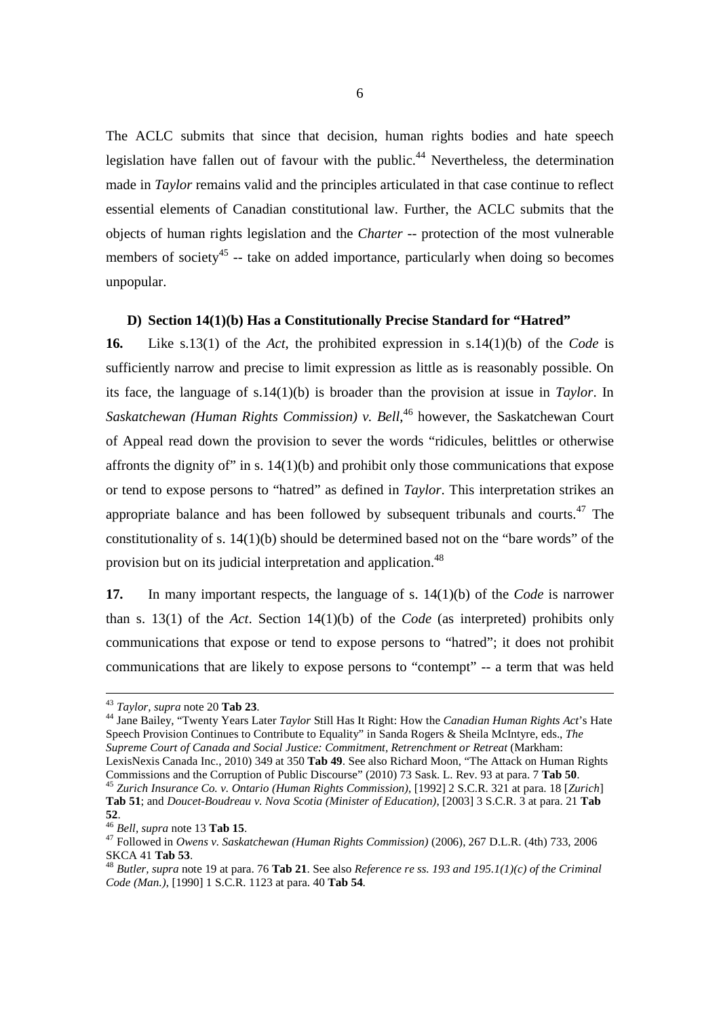The ACLC submits that since that decision, human rights bodies and hate speech legislation have fallen out of favour with the public.<sup>44</sup> Nevertheless, the determination made in *Taylor* remains valid and the principles articulated in that case continue to reflect essential elements of Canadian constitutional law. Further, the ACLC submits that the objects of human rights legislation and the *Charter* -- protection of the most vulnerable members of society<sup>45</sup> -- take on added importance, particularly when doing so becomes unpopular.

# **D) Section 14(1)(b) Has a Constitutionally Precise Standard for "Hatred"**

**16.** Like s.13(1) of the *Act*, the prohibited expression in s.14(1)(b) of the *Code* is sufficiently narrow and precise to limit expression as little as is reasonably possible. On its face, the language of s.14(1)(b) is broader than the provision at issue in *Taylor*. In *Saskatchewan (Human Rights Commission) v. Bell*, <sup>46</sup> however, the Saskatchewan Court of Appeal read down the provision to sever the words "ridicules, belittles or otherwise affronts the dignity of" in s.  $14(1)(b)$  and prohibit only those communications that expose or tend to expose persons to "hatred" as defined in *Taylor*. This interpretation strikes an appropriate balance and has been followed by subsequent tribunals and courts.<sup>47</sup> The constitutionality of s. 14(1)(b) should be determined based not on the "bare words" of the provision but on its judicial interpretation and application.<sup>48</sup>

**17.** In many important respects, the language of s. 14(1)(b) of the *Code* is narrower than s. 13(1) of the *Act*. Section 14(1)(b) of the *Code* (as interpreted) prohibits only communications that expose or tend to expose persons to "hatred"; it does not prohibit communications that are likely to expose persons to "contempt" -- a term that was held

 $\overline{a}$ 

<sup>44</sup> Jane Bailey, "Twenty Years Later *Taylor* Still Has It Right: How the *Canadian Human Rights Act*'s Hate Speech Provision Continues to Contribute to Equality" in Sanda Rogers & Sheila McIntyre, eds., *The Supreme Court of Canada and Social Justice: Commitment, Retrenchment or Retreat* (Markham: LexisNexis Canada Inc., 2010) 349 at 350 **Tab 49**. See also Richard Moon, "The Attack on Human Rights

Commissions and the Corruption of Public Discourse" (2010) 73 Sask. L. Rev. 93 at para. 7 **Tab 50**. <sup>45</sup> *Zurich Insurance Co. v. Ontario (Human Rights Commission)*, [1992] 2 S.C.R. 321 at para. 18 [*Zurich*] **Tab 51**; and *Doucet-Boudreau v. Nova Scotia (Minister of Education)*, [2003] 3 S.C.R. 3 at para. 21 **Tab 52**.

<sup>43</sup> *Taylor, supra* note 20 **Tab 23**.

<sup>46</sup> *Bell, supra* note 13 **Tab 15**.

<sup>47</sup> Followed in *Owens v. Saskatchewan (Human Rights Commission)* (2006), 267 D.L.R. (4th) 733, 2006 SKCA 41 **Tab 53**.

<sup>48</sup> *Butler, supra* note 19 at para. 76 **Tab 21**. See also *Reference re ss. 193 and 195.1(1)(c) of the Criminal Code (Man.)*, [1990] 1 S.C.R. 1123 at para. 40 **Tab 54**.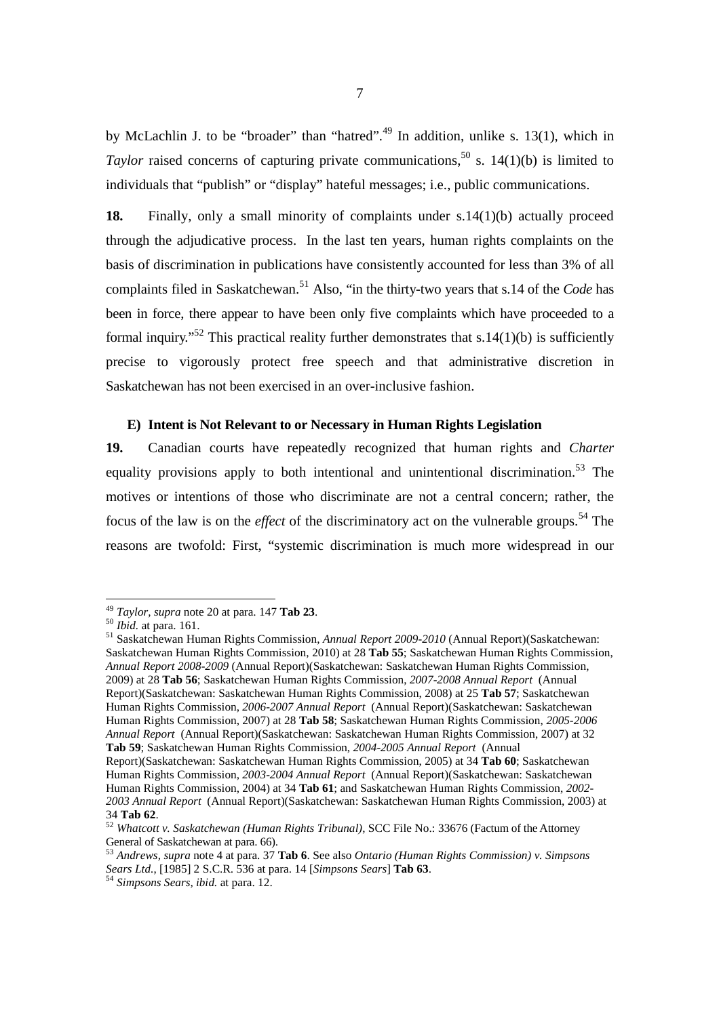by McLachlin J. to be "broader" than "hatred".<sup>49</sup> In addition, unlike s. 13(1), which in Taylor raised concerns of capturing private communications,<sup>50</sup> s. 14(1)(b) is limited to individuals that "publish" or "display" hateful messages; i.e., public communications.

**18.** Finally, only a small minority of complaints under s.14(1)(b) actually proceed through the adjudicative process. In the last ten years, human rights complaints on the basis of discrimination in publications have consistently accounted for less than 3% of all complaints filed in Saskatchewan.<sup>51</sup> Also, "in the thirty-two years that s.14 of the *Code* has been in force, there appear to have been only five complaints which have proceeded to a formal inquiry."<sup>52</sup> This practical reality further demonstrates that  $s.14(1)(b)$  is sufficiently precise to vigorously protect free speech and that administrative discretion in Saskatchewan has not been exercised in an over-inclusive fashion.

#### **E) Intent is Not Relevant to or Necessary in Human Rights Legislation**

**19.** Canadian courts have repeatedly recognized that human rights and *Charter* equality provisions apply to both intentional and unintentional discrimination.<sup>53</sup> The motives or intentions of those who discriminate are not a central concern; rather, the focus of the law is on the *effect* of the discriminatory act on the vulnerable groups. <sup>54</sup> The reasons are twofold: First, "systemic discrimination is much more widespread in our

<sup>49</sup> *Taylor, supra* note 20 at para. 147 **Tab 23**.

<sup>50</sup> *Ibid.* at para. 161.

<sup>51</sup> Saskatchewan Human Rights Commission, *Annual Report 2009-2010* (Annual Report)(Saskatchewan: Saskatchewan Human Rights Commission, 2010) at 28 **Tab 55**; Saskatchewan Human Rights Commission, *Annual Report 2008-2009* (Annual Report)(Saskatchewan: Saskatchewan Human Rights Commission, 2009) at 28 **Tab 56**; Saskatchewan Human Rights Commission, *2007-2008 Annual Report* (Annual Report)(Saskatchewan: Saskatchewan Human Rights Commission, 2008) at 25 **Tab 57**; Saskatchewan Human Rights Commission, *2006-2007 Annual Report* (Annual Report)(Saskatchewan: Saskatchewan Human Rights Commission, 2007) at 28 **Tab 58**; Saskatchewan Human Rights Commission, *2005-2006 Annual Report* (Annual Report)(Saskatchewan: Saskatchewan Human Rights Commission, 2007) at 32 **Tab 59**; Saskatchewan Human Rights Commission, *2004-2005 Annual Report* (Annual

Report)(Saskatchewan: Saskatchewan Human Rights Commission, 2005) at 34 **Tab 60**; Saskatchewan Human Rights Commission, *2003-2004 Annual Report* (Annual Report)(Saskatchewan: Saskatchewan Human Rights Commission, 2004) at 34 **Tab 61**; and Saskatchewan Human Rights Commission, *2002- 2003 Annual Report* (Annual Report)(Saskatchewan: Saskatchewan Human Rights Commission, 2003) at 34 **Tab 62**.

<sup>52</sup> *Whatcott v. Saskatchewan (Human Rights Tribunal)*, SCC File No.: 33676 (Factum of the Attorney General of Saskatchewan at para. 66).

<sup>53</sup> *Andrews, supra* note 4 at para. 37 **Tab 6**. See also *Ontario (Human Rights Commission) v. Simpsons Sears Ltd.*, [1985] 2 S.C.R. 536 at para. 14 [*Simpsons Sears*] **Tab 63**.

<sup>54</sup> *Simpsons Sears, ibid.* at para. 12.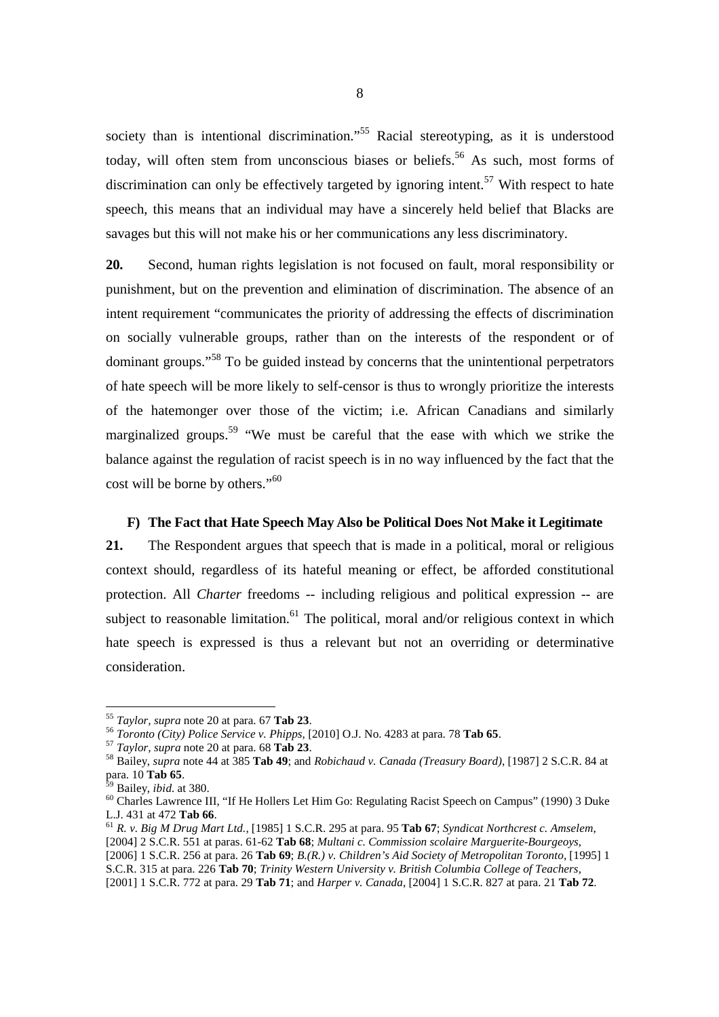society than is intentional discrimination."<sup>55</sup> Racial stereotyping, as it is understood today, will often stem from unconscious biases or beliefs.<sup>56</sup> As such, most forms of discrimination can only be effectively targeted by ignoring intent.<sup>57</sup> With respect to hate speech, this means that an individual may have a sincerely held belief that Blacks are savages but this will not make his or her communications any less discriminatory.

**20.** Second, human rights legislation is not focused on fault, moral responsibility or punishment, but on the prevention and elimination of discrimination. The absence of an intent requirement "communicates the priority of addressing the effects of discrimination on socially vulnerable groups, rather than on the interests of the respondent or of dominant groups."<sup>58</sup> To be guided instead by concerns that the unintentional perpetrators of hate speech will be more likely to self-censor is thus to wrongly prioritize the interests of the hatemonger over those of the victim; i.e. African Canadians and similarly marginalized groups.<sup>59</sup> "We must be careful that the ease with which we strike the balance against the regulation of racist speech is in no way influenced by the fact that the cost will be borne by others."<sup>60</sup>

# **F) The Fact that Hate Speech May Also be Political Does Not Make it Legitimate**

**21.** The Respondent argues that speech that is made in a political, moral or religious context should, regardless of its hateful meaning or effect, be afforded constitutional protection. All *Charter* freedoms -- including religious and political expression -- are subject to reasonable limitation.<sup>61</sup> The political, moral and/or religious context in which hate speech is expressed is thus a relevant but not an overriding or determinative consideration.

<sup>55</sup> *Taylor, supra* note 20 at para. 67 **Tab 23**.

<sup>56</sup> *Toronto (City) Police Service v. Phipps*, [2010] O.J. No. 4283 at para. 78 **Tab 65**.

<sup>57</sup> *Taylor, supra* note 20 at para. 68 **Tab 23**.

<sup>58</sup> Bailey, *supra* note 44 at 385 **Tab 49**; and *Robichaud v. Canada (Treasury Board)*, [1987] 2 S.C.R. 84 at para. 10 **Tab 65**.

<sup>59</sup> Bailey, *ibid.* at 380.

<sup>60</sup> Charles Lawrence III, "If He Hollers Let Him Go: Regulating Racist Speech on Campus" (1990) 3 Duke L.J. 431 at 472 **Tab 66**.

<sup>61</sup> *R. v. Big M Drug Mart Ltd.,* [1985] 1 S.C.R. 295 at para. 95 **Tab 67**; *Syndicat Northcrest c. Amselem*, [2004] 2 S.C.R. 551 at paras. 61-62 **Tab 68**; *Multani c. Commission scolaire Marguerite-Bourgeoys*, [2006] 1 S.C.R. 256 at para. 26 **Tab 69**; *B.(R.) v. Children's Aid Society of Metropolitan Toronto*, [1995] 1 S.C.R. 315 at para. 226 **Tab 70**; *Trinity Western University v. British Columbia College of Teachers,*

<sup>[2001] 1</sup> S.C.R. 772 at para. 29 **Tab 71**; and *Harper v. Canada*, [2004] 1 S.C.R. 827 at para. 21 **Tab 72**.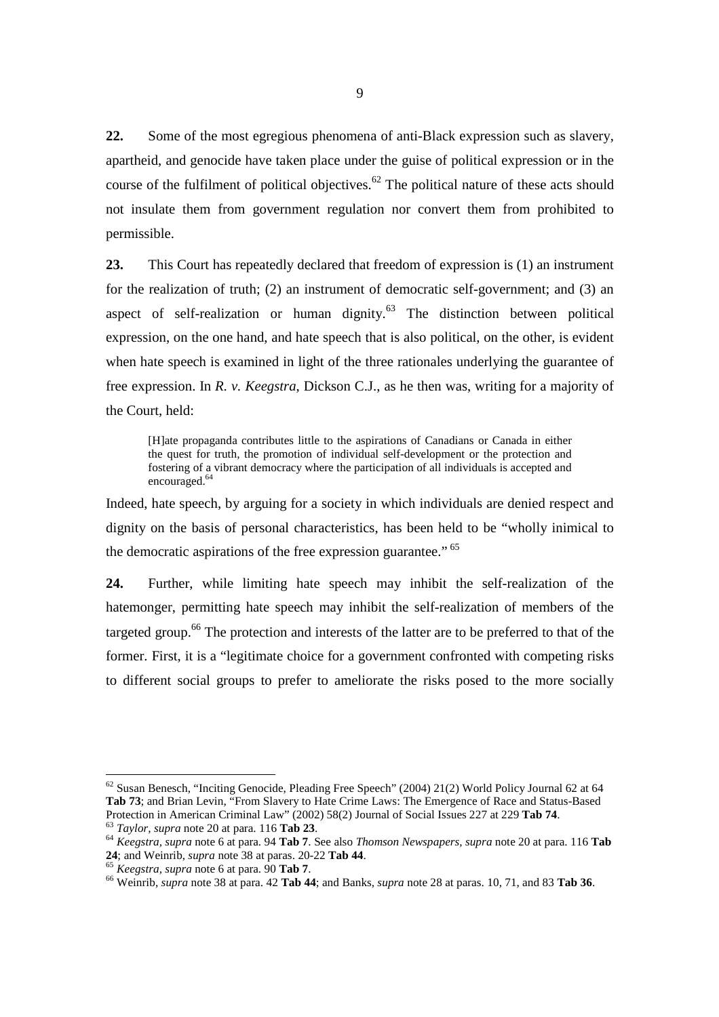**22.** Some of the most egregious phenomena of anti-Black expression such as slavery, apartheid, and genocide have taken place under the guise of political expression or in the course of the fulfilment of political objectives.<sup>62</sup> The political nature of these acts should not insulate them from government regulation nor convert them from prohibited to permissible.

**23.** This Court has repeatedly declared that freedom of expression is (1) an instrument for the realization of truth; (2) an instrument of democratic self-government; and (3) an aspect of self-realization or human dignity. $63$  The distinction between political expression, on the one hand, and hate speech that is also political, on the other, is evident when hate speech is examined in light of the three rationales underlying the guarantee of free expression. In *R. v. Keegstra*, Dickson C.J., as he then was, writing for a majority of the Court, held:

[H]ate propaganda contributes little to the aspirations of Canadians or Canada in either the quest for truth, the promotion of individual self-development or the protection and fostering of a vibrant democracy where the participation of all individuals is accepted and encouraged.<sup>64</sup>

Indeed, hate speech, by arguing for a society in which individuals are denied respect and dignity on the basis of personal characteristics, has been held to be "wholly inimical to the democratic aspirations of the free expression guarantee."<sup>65</sup>

**24.** Further, while limiting hate speech may inhibit the self-realization of the hatemonger, permitting hate speech may inhibit the self-realization of members of the targeted group.<sup>66</sup> The protection and interests of the latter are to be preferred to that of the former. First, it is a "legitimate choice for a government confronted with competing risks to different social groups to prefer to ameliorate the risks posed to the more socially

 $62$  Susan Benesch, "Inciting Genocide, Pleading Free Speech" (2004) 21(2) World Policy Journal 62 at 64 **Tab 73**; and Brian Levin, "From Slavery to Hate Crime Laws: The Emergence of Race and Status-Based Protection in American Criminal Law" (2002) 58(2) Journal of Social Issues 227 at 229 **Tab 74**.

<sup>63</sup> *Taylor, supra* note 20 at para. 116 **Tab 23**.

<sup>64</sup> *Keegstra, supra* note 6 at para. 94 **Tab 7**. See also *Thomson Newspapers, supra* note 20 at para. 116 **Tab 24**; and Weinrib, *supra* note 38 at paras. 20-22 **Tab 44**.

<sup>65</sup> *Keegstra, supra* note 6 at para. 90 **Tab 7**.

<sup>66</sup> Weinrib, *supra* note 38 at para. 42 **Tab 44**; and Banks, *supra* note 28 at paras. 10, 71, and 83 **Tab 36**.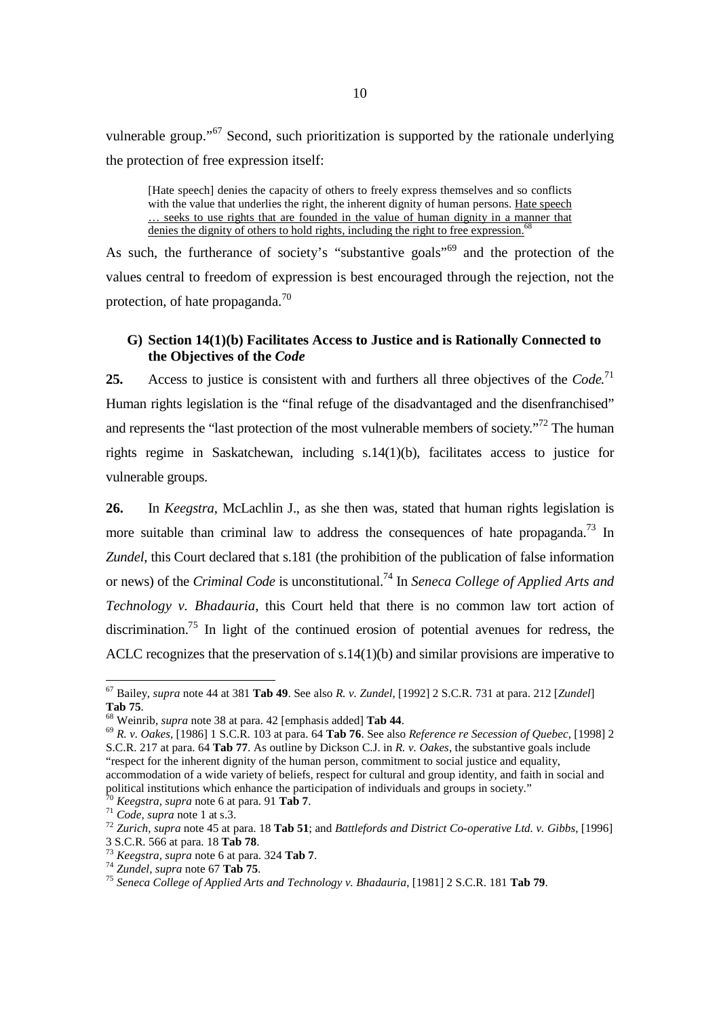vulnerable group."<sup>67</sup> Second, such prioritization is supported by the rationale underlying the protection of free expression itself:

[Hate speech] denies the capacity of others to freely express themselves and so conflicts with the value that underlies the right, the inherent dignity of human persons. Hate speech … seeks to use rights that are founded in the value of human dignity in a manner that denies the dignity of others to hold rights, including the right to free expression.<sup>6</sup>

As such, the furtherance of society's "substantive goals"<sup>69</sup> and the protection of the values central to freedom of expression is best encouraged through the rejection, not the protection, of hate propaganda.<sup>70</sup>

# **G) Section 14(1)(b) Facilitates Access to Justice and is Rationally Connected to the Objectives of the** *Code*

25. Access to justice is consistent with and furthers all three objectives of the *Code*.<sup>71</sup> Human rights legislation is the "final refuge of the disadvantaged and the disenfranchised" and represents the "last protection of the most vulnerable members of society."<sup>72</sup> The human rights regime in Saskatchewan, including s.14(1)(b), facilitates access to justice for vulnerable groups.

**26.** In *Keegstra*, McLachlin J., as she then was, stated that human rights legislation is more suitable than criminal law to address the consequences of hate propaganda.<sup>73</sup> In *Zundel*, this Court declared that s.181 (the prohibition of the publication of false information or news) of the *Criminal Code* is unconstitutional.<sup>74</sup> In *Seneca College of Applied Arts and Technology v. Bhadauria*, this Court held that there is no common law tort action of discrimination.<sup>75</sup> In light of the continued erosion of potential avenues for redress, the ACLC recognizes that the preservation of s.14(1)(b) and similar provisions are imperative to

<sup>69</sup> *R. v. Oakes*, [1986] 1 S.C.R. 103 at para. 64 **Tab 76**. See also *Reference re Secession of Quebec*, [1998] 2 S.C.R. 217 at para. 64 **Tab 77**. As outline by Dickson C.J. in *R. v. Oakes*, the substantive goals include "respect for the inherent dignity of the human person, commitment to social justice and equality, accommodation of a wide variety of beliefs, respect for cultural and group identity, and faith in social and political institutions which enhance the participation of individuals and groups in society."

<u>.</u>

<sup>67</sup> Bailey, *supra* note 44 at 381 **Tab 49**. See also *R. v. Zundel*, [1992] 2 S.C.R. 731 at para. 212 [*Zundel*] **Tab 75**.

<sup>68</sup> Weinrib, *supra* note 38 at para. 42 [emphasis added] **Tab 44**.

<sup>70</sup> *Keegstra, supra* note 6 at para. 91 **Tab 7**.

<sup>71</sup> *Code, supra* note 1 at s.3.

<sup>72</sup> *Zurich, supra* note 45 at para. 18 **Tab 51**; and *Battlefords and District Co-operative Ltd. v. Gibbs*, [1996] 3 S.C.R. 566 at para. 18 **Tab 78**.

<sup>73</sup> *Keegstra, supra* note 6 at para. 324 **Tab 7**.

<sup>74</sup> *Zundel, supra* note 67 **Tab 75**.

<sup>75</sup> *Seneca College of Applied Arts and Technology v. Bhadauria*, [1981] 2 S.C.R. 181 **Tab 79**.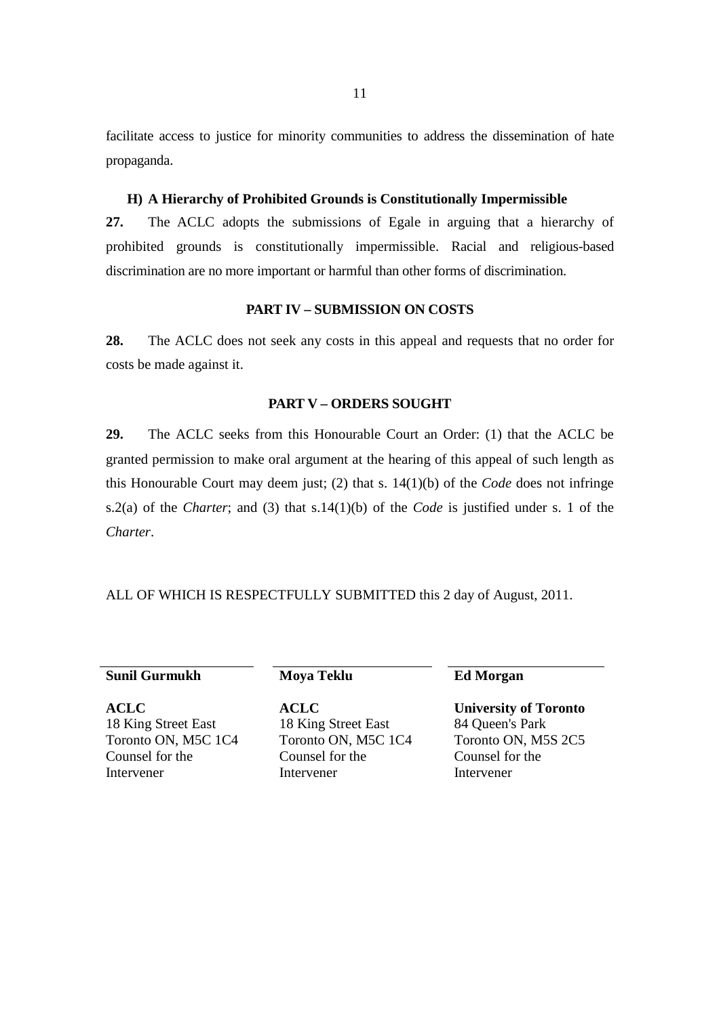facilitate access to justice for minority communities to address the dissemination of hate propaganda.

# **H) A Hierarchy of Prohibited Grounds is Constitutionally Impermissible**

**27.** The ACLC adopts the submissions of Egale in arguing that a hierarchy of prohibited grounds is constitutionally impermissible. Racial and religious-based discrimination are no more important or harmful than other forms of discrimination.

#### **PART IV – SUBMISSION ON COSTS**

**28.** The ACLC does not seek any costs in this appeal and requests that no order for costs be made against it.

#### **PART V – ORDERS SOUGHT**

**29.** The ACLC seeks from this Honourable Court an Order: (1) that the ACLC be granted permission to make oral argument at the hearing of this appeal of such length as this Honourable Court may deem just; (2) that s. 14(1)(b) of the *Code* does not infringe s.2(a) of the *Charter*; and (3) that s.14(1)(b) of the *Code* is justified under s. 1 of the *Charter*.

ALL OF WHICH IS RESPECTFULLY SUBMITTED this 2 day of August, 2011.

# **Sunil Gurmukh** Moya Teklu **Ed Morgan**

**ACLC**  18 King Street East Toronto ON, M5C 1C4 Counsel for the Intervener

 **ACLC**  18 King Street East Toronto ON, M5C 1C4 Counsel for the Intervener

 **University of Toronto** 84 Queen's Park Toronto ON, M5S 2C5 Counsel for the Intervener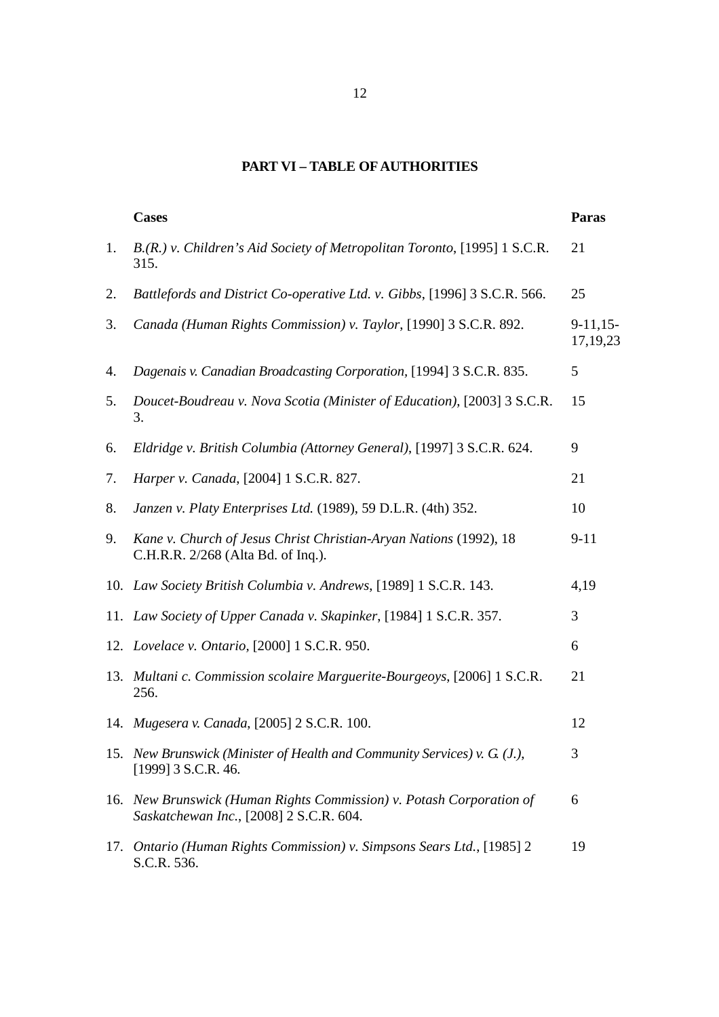# **PART VI – TABLE OF AUTHORITIES**

|     | <b>Cases</b>                                                                                                    | <b>Paras</b>             |
|-----|-----------------------------------------------------------------------------------------------------------------|--------------------------|
| 1.  | B.(R.) v. Children's Aid Society of Metropolitan Toronto, [1995] 1 S.C.R.<br>315.                               | 21                       |
| 2.  | Battlefords and District Co-operative Ltd. v. Gibbs, [1996] 3 S.C.R. 566.                                       | 25                       |
| 3.  | Canada (Human Rights Commission) v. Taylor, [1990] 3 S.C.R. 892.                                                | $9-11,15-$<br>17, 19, 23 |
| 4.  | Dagenais v. Canadian Broadcasting Corporation, [1994] 3 S.C.R. 835.                                             | 5                        |
| 5.  | Doucet-Boudreau v. Nova Scotia (Minister of Education), [2003] 3 S.C.R.<br>3.                                   | 15                       |
| 6.  | Eldridge v. British Columbia (Attorney General), [1997] 3 S.C.R. 624.                                           | 9                        |
| 7.  | Harper v. Canada, [2004] 1 S.C.R. 827.                                                                          | 21                       |
| 8.  | Janzen v. Platy Enterprises Ltd. (1989), 59 D.L.R. (4th) 352.                                                   | 10                       |
| 9.  | Kane v. Church of Jesus Christ Christian-Aryan Nations (1992), 18<br>C.H.R.R. 2/268 (Alta Bd. of Inq.).         | $9 - 11$                 |
|     | 10. Law Society British Columbia v. Andrews, [1989] 1 S.C.R. 143.                                               | 4,19                     |
|     | 11. Law Society of Upper Canada v. Skapinker, [1984] 1 S.C.R. 357.                                              | 3                        |
|     | 12. Lovelace v. Ontario, [2000] 1 S.C.R. 950.                                                                   | 6                        |
|     | 13. Multani c. Commission scolaire Marguerite-Bourgeoys, [2006] 1 S.C.R.<br>256.                                | 21                       |
|     | 14. Mugesera v. Canada, [2005] 2 S.C.R. 100.                                                                    | 12                       |
|     | 15. New Brunswick (Minister of Health and Community Services) v. G (J.),<br>[1999] 3 S.C.R. 46.                 | 3                        |
|     | 16. New Brunswick (Human Rights Commission) v. Potash Corporation of<br>Saskatchewan Inc., [2008] 2 S.C.R. 604. | 6                        |
| 17. | Ontario (Human Rights Commission) v. Simpsons Sears Ltd., [1985] 2<br>S.C.R. 536.                               | 19                       |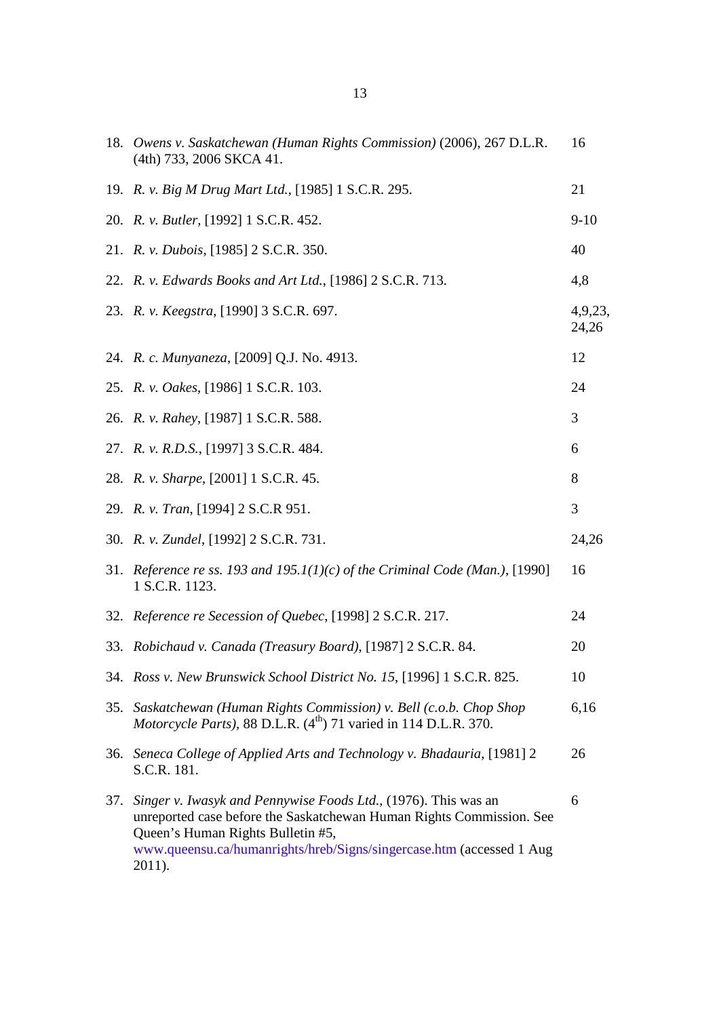|     | 18. Owens v. Saskatchewan (Human Rights Commission) (2006), 267 D.L.R.<br>(4th) 733, 2006 SKCA 41.                                                                                                                                                            | 16               |
|-----|---------------------------------------------------------------------------------------------------------------------------------------------------------------------------------------------------------------------------------------------------------------|------------------|
|     | 19. R. v. Big M Drug Mart Ltd., [1985] 1 S.C.R. 295.                                                                                                                                                                                                          | 21               |
|     | 20. R. v. Butler, [1992] 1 S.C.R. 452.                                                                                                                                                                                                                        | $9 - 10$         |
|     | 21. <i>R. v. Dubois</i> , [1985] 2 S.C.R. 350.                                                                                                                                                                                                                | 40               |
|     | 22. R. v. Edwards Books and Art Ltd., [1986] 2 S.C.R. 713.                                                                                                                                                                                                    | 4,8              |
|     | 23. R. v. Keegstra, [1990] 3 S.C.R. 697.                                                                                                                                                                                                                      | 4,9,23,<br>24,26 |
|     | 24. R. c. Munyaneza, [2009] Q.J. No. 4913.                                                                                                                                                                                                                    | 12               |
|     | 25. R. v. Oakes, [1986] 1 S.C.R. 103.                                                                                                                                                                                                                         | 24               |
|     | 26. R. v. Rahey, [1987] 1 S.C.R. 588.                                                                                                                                                                                                                         | 3                |
|     | 27. R. v. R.D.S., [1997] 3 S.C.R. 484.                                                                                                                                                                                                                        | 6                |
|     | 28. R. v. Sharpe, [2001] 1 S.C.R. 45.                                                                                                                                                                                                                         | 8                |
|     | 29. R. v. Tran, [1994] 2 S.C.R 951.                                                                                                                                                                                                                           | 3                |
|     | 30. R. v. Zundel, [1992] 2 S.C.R. 731.                                                                                                                                                                                                                        | 24,26            |
|     | 31. Reference re ss. 193 and 195.1(1)(c) of the Criminal Code (Man.), [1990]<br>1 S.C.R. 1123.                                                                                                                                                                | 16               |
|     | 32. Reference re Secession of Quebec, [1998] 2 S.C.R. 217.                                                                                                                                                                                                    | 24               |
|     | 33. Robichaud v. Canada (Treasury Board), [1987] 2 S.C.R. 84.                                                                                                                                                                                                 | 20               |
|     | 34. Ross v. New Brunswick School District No. 15, [1996] 1 S.C.R. 825.                                                                                                                                                                                        | 10               |
| 35. | Saskatchewan (Human Rights Commission) v. Bell (c.o.b. Chop Shop<br>Motorcycle Parts), 88 D.L.R. $(4^{th})$ 71 varied in 114 D.L.R. 370.                                                                                                                      | 6,16             |
|     | 36. Seneca College of Applied Arts and Technology v. Bhadauria, [1981] 2<br>S.C.R. 181.                                                                                                                                                                       | 26               |
| 37. | Singer v. Iwasyk and Pennywise Foods Ltd., (1976). This was an<br>unreported case before the Saskatchewan Human Rights Commission. See<br>Queen's Human Rights Bulletin #5,<br>www.queensu.ca/humanrights/hreb/Signs/singercase.htm (accessed 1 Aug<br>2011). | 6                |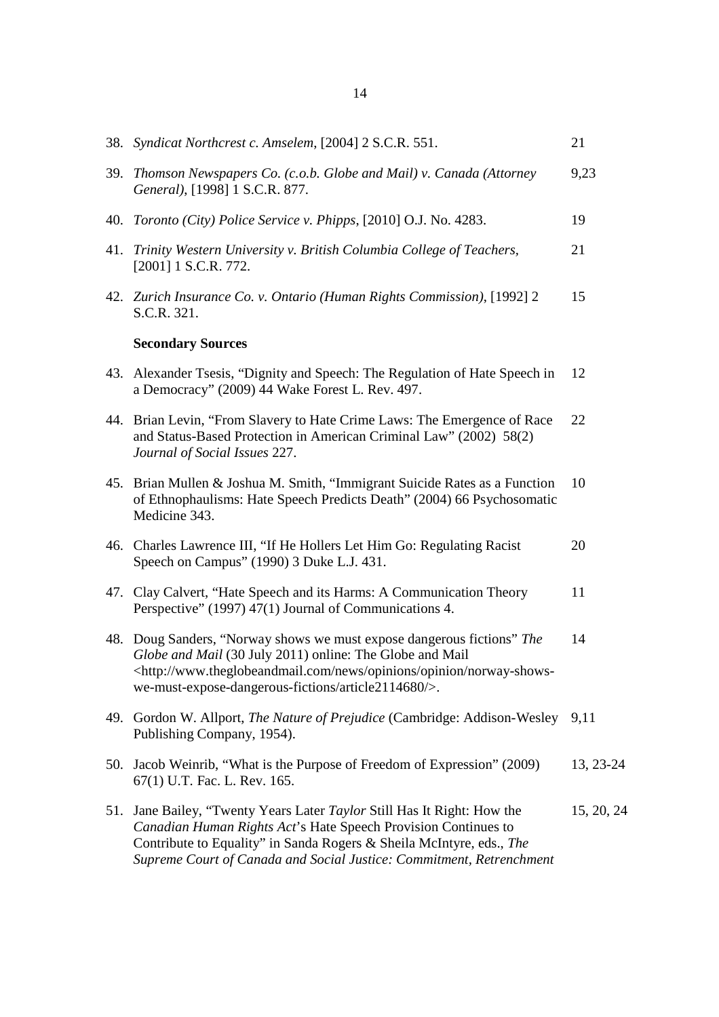|     | 38. Syndicat Northcrest c. Amselem, [2004] 2 S.C.R. 551.                                                                                                                                                                                                                                  | 21         |
|-----|-------------------------------------------------------------------------------------------------------------------------------------------------------------------------------------------------------------------------------------------------------------------------------------------|------------|
|     | 39. Thomson Newspapers Co. (c.o.b. Globe and Mail) v. Canada (Attorney<br>General), [1998] 1 S.C.R. 877.                                                                                                                                                                                  | 9,23       |
|     | 40. Toronto (City) Police Service v. Phipps, [2010] O.J. No. 4283.                                                                                                                                                                                                                        | 19         |
|     | 41. Trinity Western University v. British Columbia College of Teachers,<br>$[2001]$ 1 S.C.R. 772.                                                                                                                                                                                         | 21         |
|     | 42. Zurich Insurance Co. v. Ontario (Human Rights Commission), [1992] 2<br>S.C.R. 321.                                                                                                                                                                                                    | 15         |
|     | <b>Secondary Sources</b>                                                                                                                                                                                                                                                                  |            |
|     | 43. Alexander Tsesis, "Dignity and Speech: The Regulation of Hate Speech in<br>a Democracy" (2009) 44 Wake Forest L. Rev. 497.                                                                                                                                                            | 12         |
|     | 44. Brian Levin, "From Slavery to Hate Crime Laws: The Emergence of Race<br>and Status-Based Protection in American Criminal Law" (2002) 58(2)<br>Journal of Social Issues 227.                                                                                                           | 22         |
|     | 45. Brian Mullen & Joshua M. Smith, "Immigrant Suicide Rates as a Function<br>of Ethnophaulisms: Hate Speech Predicts Death" (2004) 66 Psychosomatic<br>Medicine 343.                                                                                                                     | 10         |
|     | 46. Charles Lawrence III, "If He Hollers Let Him Go: Regulating Racist<br>Speech on Campus" (1990) 3 Duke L.J. 431.                                                                                                                                                                       | 20         |
|     | 47. Clay Calvert, "Hate Speech and its Harms: A Communication Theory<br>Perspective" (1997) 47(1) Journal of Communications 4.                                                                                                                                                            | 11         |
|     | 48. Doug Sanders, "Norway shows we must expose dangerous fictions" The<br>Globe and Mail (30 July 2011) online: The Globe and Mail<br><http: news="" norway-shows-<br="" opinion="" opinions="" www.theglobeandmail.com="">we-must-expose-dangerous-fictions/article2114680/&gt;.</http:> | 14         |
|     | 49. Gordon W. Allport, The Nature of Prejudice (Cambridge: Addison-Wesley<br>Publishing Company, 1954).                                                                                                                                                                                   | 9,11       |
|     | 50. Jacob Weinrib, "What is the Purpose of Freedom of Expression" (2009)<br>67(1) U.T. Fac. L. Rev. 165.                                                                                                                                                                                  | 13, 23-24  |
| 51. | Jane Bailey, "Twenty Years Later Taylor Still Has It Right: How the<br>Canadian Human Rights Act's Hate Speech Provision Continues to<br>Contribute to Equality" in Sanda Rogers & Sheila McIntyre, eds., The<br>Supreme Court of Canada and Social Justice: Commitment, Retrenchment     | 15, 20, 24 |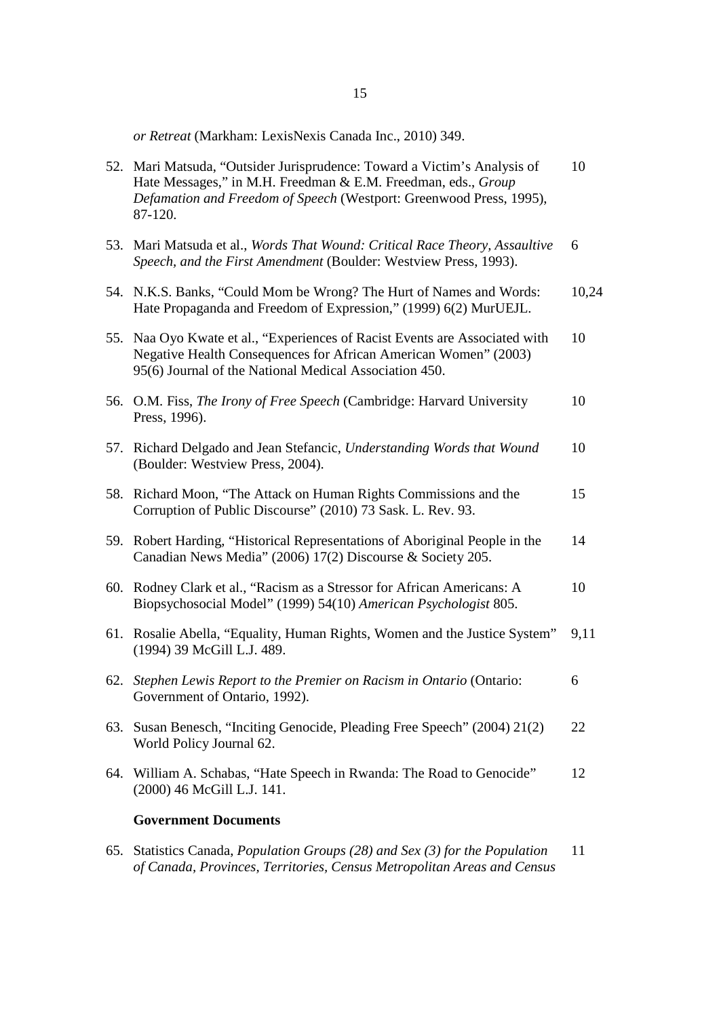*or Retreat* (Markham: LexisNexis Canada Inc., 2010) 349.

|     | 52. Mari Matsuda, "Outsider Jurisprudence: Toward a Victim's Analysis of<br>Hate Messages," in M.H. Freedman & E.M. Freedman, eds., Group<br>Defamation and Freedom of Speech (Westport: Greenwood Press, 1995),<br>87-120. | 10    |
|-----|-----------------------------------------------------------------------------------------------------------------------------------------------------------------------------------------------------------------------------|-------|
| 53. | Mari Matsuda et al., Words That Wound: Critical Race Theory, Assaultive<br>Speech, and the First Amendment (Boulder: Westview Press, 1993).                                                                                 | 6     |
|     | 54. N.K.S. Banks, "Could Mom be Wrong? The Hurt of Names and Words:<br>Hate Propaganda and Freedom of Expression," (1999) 6(2) MurUEJL.                                                                                     | 10,24 |
| 55. | Naa Oyo Kwate et al., "Experiences of Racist Events are Associated with<br>Negative Health Consequences for African American Women" (2003)<br>95(6) Journal of the National Medical Association 450.                        | 10    |
| 56. | O.M. Fiss, The Irony of Free Speech (Cambridge: Harvard University<br>Press, 1996).                                                                                                                                         | 10    |
|     | 57. Richard Delgado and Jean Stefancic, Understanding Words that Wound<br>(Boulder: Westview Press, 2004).                                                                                                                  | 10    |
|     | 58. Richard Moon, "The Attack on Human Rights Commissions and the<br>Corruption of Public Discourse" (2010) 73 Sask. L. Rev. 93.                                                                                            | 15    |
|     | 59. Robert Harding, "Historical Representations of Aboriginal People in the<br>Canadian News Media" (2006) 17(2) Discourse & Society 205.                                                                                   | 14    |
|     | 60. Rodney Clark et al., "Racism as a Stressor for African Americans: A<br>Biopsychosocial Model" (1999) 54(10) American Psychologist 805.                                                                                  | 10    |
|     | 61. Rosalie Abella, "Equality, Human Rights, Women and the Justice System"<br>(1994) 39 McGill L.J. 489.                                                                                                                    | 9,11  |
| 62. | Stephen Lewis Report to the Premier on Racism in Ontario (Ontario:<br>Government of Ontario, 1992).                                                                                                                         | 6     |
| 63. | Susan Benesch, "Inciting Genocide, Pleading Free Speech" (2004) 21(2)<br>World Policy Journal 62.                                                                                                                           | 22    |
| 64. | William A. Schabas, "Hate Speech in Rwanda: The Road to Genocide"<br>(2000) 46 McGill L.J. 141.                                                                                                                             | 12    |
|     | <b>Government Documents</b>                                                                                                                                                                                                 |       |
| 65. | Statistics Canada, <i>Population Groups</i> (28) and Sex (3) for the Population                                                                                                                                             | 11    |

*of Canada, Provinces, Territories, Census Metropolitan Areas and Census*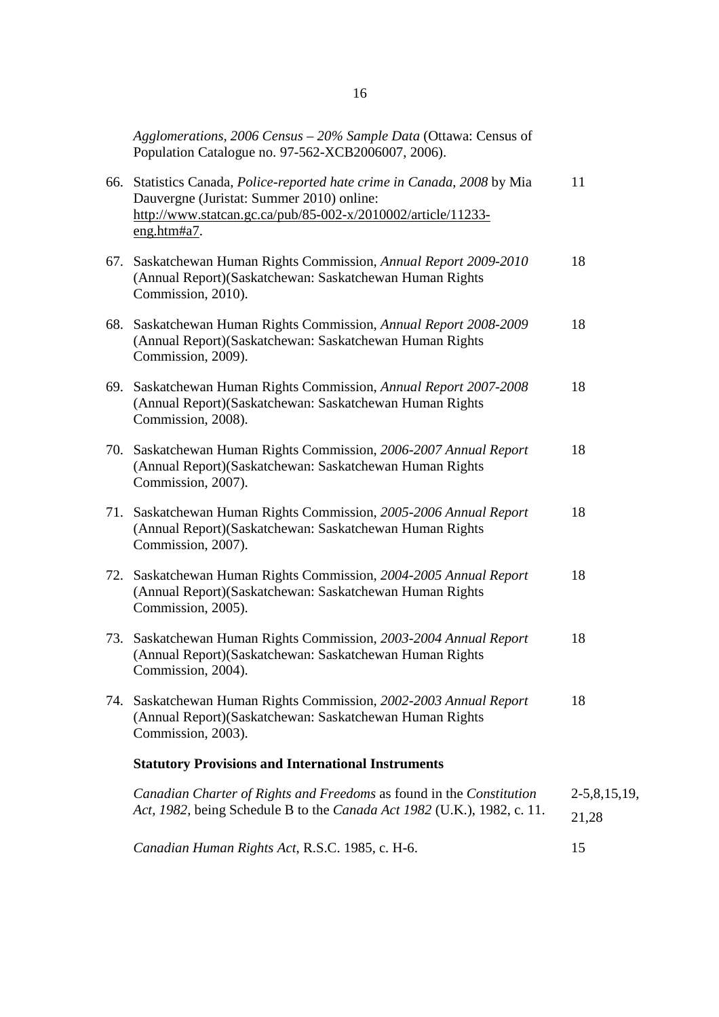|     | Agglomerations, 2006 Census - 20% Sample Data (Ottawa: Census of<br>Population Catalogue no. 97-562-XCB2006007, 2006).                                                                                |                         |
|-----|-------------------------------------------------------------------------------------------------------------------------------------------------------------------------------------------------------|-------------------------|
|     | 66. Statistics Canada, Police-reported hate crime in Canada, 2008 by Mia<br>Dauvergne (Juristat: Summer 2010) online:<br>http://www.statcan.gc.ca/pub/85-002-x/2010002/article/11233-<br>eng.html#a7. | 11                      |
|     | 67. Saskatchewan Human Rights Commission, Annual Report 2009-2010<br>(Annual Report)(Saskatchewan: Saskatchewan Human Rights<br>Commission, 2010).                                                    | 18                      |
|     | 68. Saskatchewan Human Rights Commission, Annual Report 2008-2009<br>(Annual Report)(Saskatchewan: Saskatchewan Human Rights<br>Commission, 2009).                                                    | 18                      |
| 69. | Saskatchewan Human Rights Commission, Annual Report 2007-2008<br>(Annual Report)(Saskatchewan: Saskatchewan Human Rights<br>Commission, 2008).                                                        | 18                      |
|     | 70. Saskatchewan Human Rights Commission, 2006-2007 Annual Report<br>(Annual Report)(Saskatchewan: Saskatchewan Human Rights<br>Commission, 2007).                                                    | 18                      |
|     | 71. Saskatchewan Human Rights Commission, 2005-2006 Annual Report<br>(Annual Report)(Saskatchewan: Saskatchewan Human Rights<br>Commission, 2007).                                                    | 18                      |
|     | 72. Saskatchewan Human Rights Commission, 2004-2005 Annual Report<br>(Annual Report)(Saskatchewan: Saskatchewan Human Rights<br>Commission, 2005).                                                    | 18                      |
|     | 73. Saskatchewan Human Rights Commission, 2003-2004 Annual Report<br>(Annual Report)(Saskatchewan: Saskatchewan Human Rights<br>Commission, 2004).                                                    | 18                      |
| 74. | Saskatchewan Human Rights Commission, 2002-2003 Annual Report<br>(Annual Report)(Saskatchewan: Saskatchewan Human Rights<br>Commission, 2003).                                                        | 18                      |
|     | <b>Statutory Provisions and International Instruments</b>                                                                                                                                             |                         |
|     | Canadian Charter of Rights and Freedoms as found in the Constitution<br>Act, 1982, being Schedule B to the Canada Act 1982 (U.K.), 1982, c. 11.                                                       | $2-5,8,15,19,$<br>21,28 |
|     | Canadian Human Rights Act, R.S.C. 1985, c. H-6.                                                                                                                                                       | 15                      |
|     |                                                                                                                                                                                                       |                         |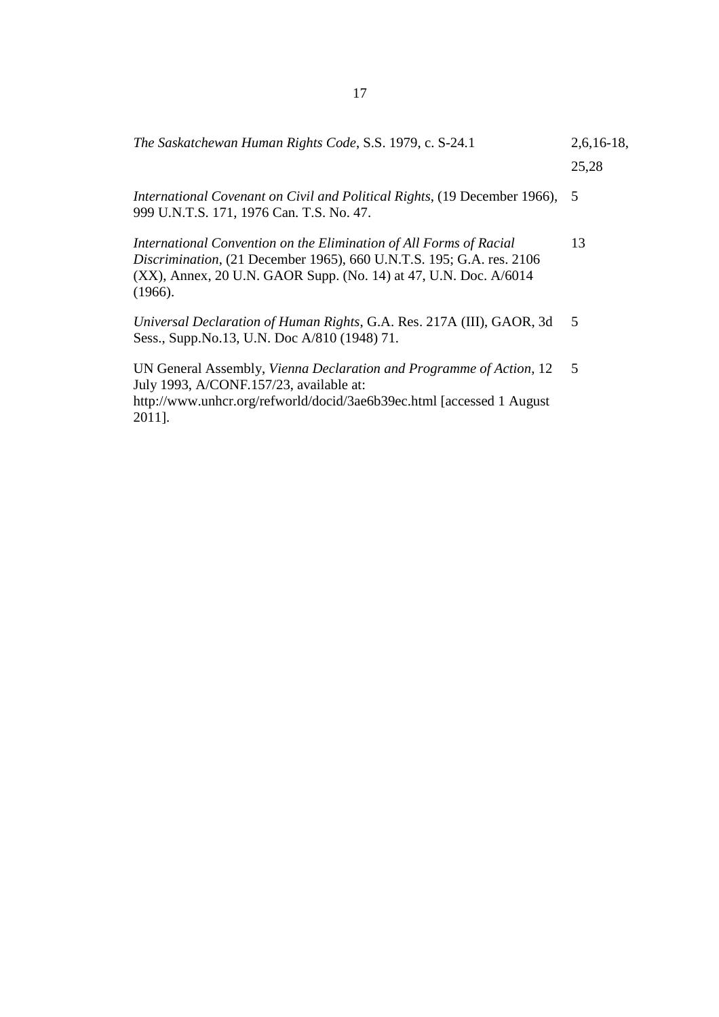| The Saskatchewan Human Rights Code, S.S. 1979, c. S-24.1 | $2,6,16-18,$ |
|----------------------------------------------------------|--------------|
|                                                          | 25,28        |

*International Covenant on Civil and Political Rights*, (19 December 1966), 5 999 U.N.T.S. 171, 1976 Can. T.S. No. 47.

*International Convention on the Elimination of All Forms of Racial Discrimination*, (21 December 1965), 660 U.N.T.S. 195; G.A. res. 2106 (XX), Annex, 20 U.N. GAOR Supp. (No. 14) at 47, U.N. Doc. A/6014 (1966). 13

*Universal Declaration of Human Rights*, G.A. Res. 217A (III), GAOR, 3d Sess., Supp.No.13, U.N. Doc A/810 (1948) 71. 5

 UN General Assembly, *Vienna Declaration and Programme of Action*, 12 July 1993, A/CONF.157/23, available at: http://www.unhcr.org/refworld/docid/3ae6b39ec.html [accessed 1 August 2011]. 5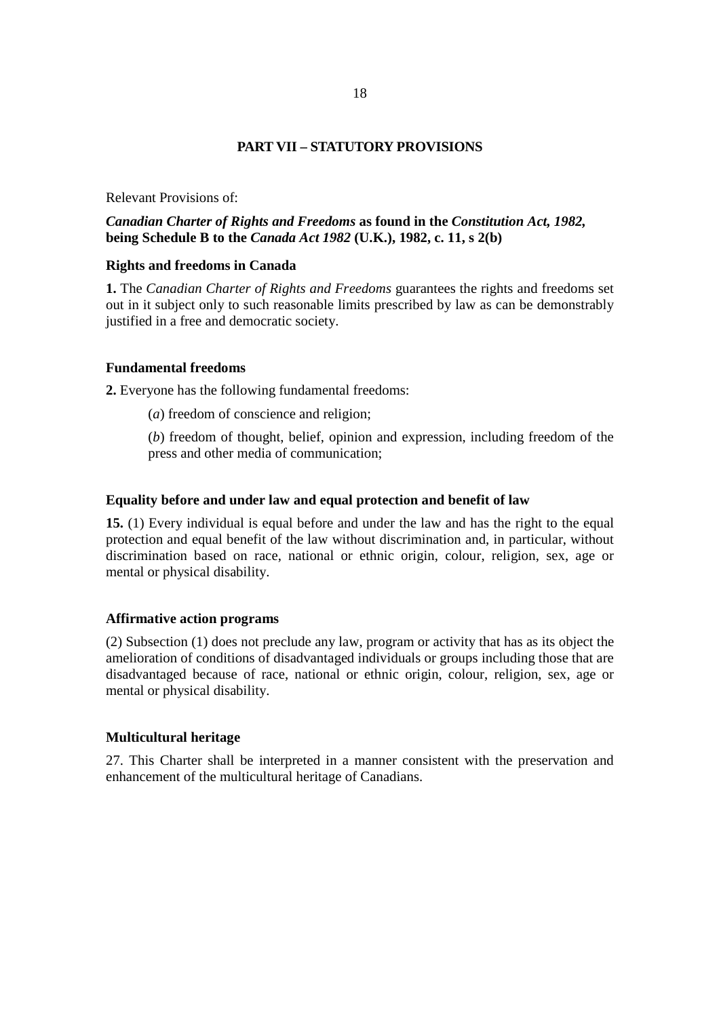#### **PART VII – STATUTORY PROVISIONS**

Relevant Provisions of:

# *Canadian Charter of Rights and Freedoms* **as found in the** *Constitution Act, 1982,*  **being Schedule B to the** *Canada Act 1982* **(U.K.), 1982, c. 11, s 2(b)**

#### **Rights and freedoms in Canada**

**1.** The *Canadian Charter of Rights and Freedoms* guarantees the rights and freedoms set out in it subject only to such reasonable limits prescribed by law as can be demonstrably justified in a free and democratic society.

#### **Fundamental freedoms**

**2.** Everyone has the following fundamental freedoms:

(*a*) freedom of conscience and religion;

(*b*) freedom of thought, belief, opinion and expression, including freedom of the press and other media of communication;

#### **Equality before and under law and equal protection and benefit of law**

**15.** (1) Every individual is equal before and under the law and has the right to the equal protection and equal benefit of the law without discrimination and, in particular, without discrimination based on race, national or ethnic origin, colour, religion, sex, age or mental or physical disability.

#### **Affirmative action programs**

(2) Subsection (1) does not preclude any law, program or activity that has as its object the amelioration of conditions of disadvantaged individuals or groups including those that are disadvantaged because of race, national or ethnic origin, colour, religion, sex, age or mental or physical disability.

#### **Multicultural heritage**

27. This Charter shall be interpreted in a manner consistent with the preservation and enhancement of the multicultural heritage of Canadians.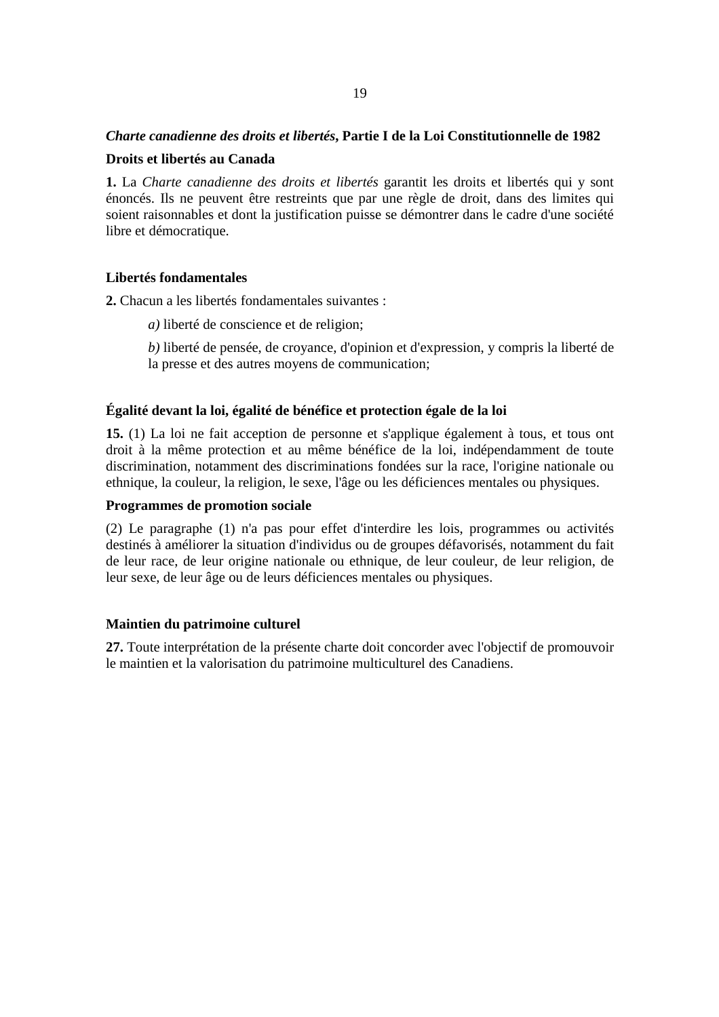# *Charte canadienne des droits et libertés***, Partie I de la Loi Constitutionnelle de 1982**

#### **Droits et libertés au Canada**

**1.** La *Charte canadienne des droits et libertés* garantit les droits et libertés qui y sont énoncés. Ils ne peuvent être restreints que par une règle de droit, dans des limites qui soient raisonnables et dont la justification puisse se démontrer dans le cadre d'une société libre et démocratique.

# **Libertés fondamentales**

**2.** Chacun a les libertés fondamentales suivantes :

- *a)* liberté de conscience et de religion;
- *b)* liberté de pensée, de croyance, d'opinion et d'expression, y compris la liberté de la presse et des autres moyens de communication;

# **Égalité devant la loi, égalité de bénéfice et protection égale de la loi**

**15.** (1) La loi ne fait acception de personne et s'applique également à tous, et tous ont droit à la même protection et au même bénéfice de la loi, indépendamment de toute discrimination, notamment des discriminations fondées sur la race, l'origine nationale ou ethnique, la couleur, la religion, le sexe, l'âge ou les déficiences mentales ou physiques.

#### **Programmes de promotion sociale**

(2) Le paragraphe (1) n'a pas pour effet d'interdire les lois, programmes ou activités destinés à améliorer la situation d'individus ou de groupes défavorisés, notamment du fait de leur race, de leur origine nationale ou ethnique, de leur couleur, de leur religion, de leur sexe, de leur âge ou de leurs déficiences mentales ou physiques.

# **Maintien du patrimoine culturel**

**27.** Toute interprétation de la présente charte doit concorder avec l'objectif de promouvoir le maintien et la valorisation du patrimoine multiculturel des Canadiens.